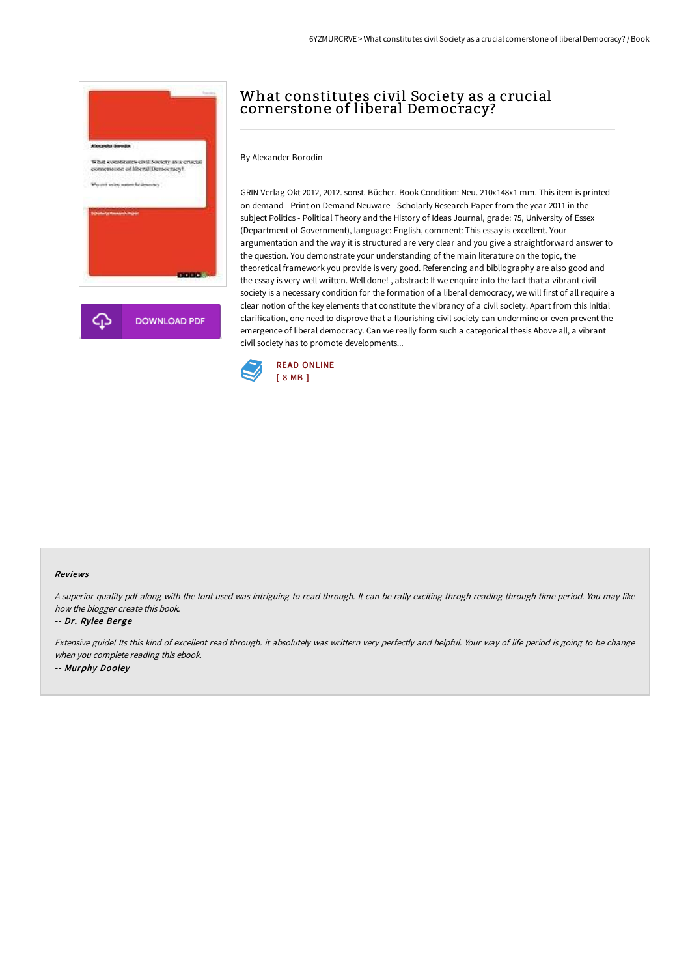

# What constitutes civil Society as a crucial cornerstone of liberal Democracy?

By Alexander Borodin

GRIN Verlag Okt 2012, 2012. sonst. Bücher. Book Condition: Neu. 210x148x1 mm. This item is printed on demand - Print on Demand Neuware - Scholarly Research Paper from the year 2011 in the subject Politics - Political Theory and the History of Ideas Journal, grade: 75, University of Essex (Department of Government), language: English, comment: This essay is excellent. Your argumentation and the way it is structured are very clear and you give a straightforward answer to the question. You demonstrate your understanding of the main literature on the topic, the theoretical framework you provide is very good. Referencing and bibliography are also good and the essay is very well written. Well done! , abstract: If we enquire into the fact that a vibrant civil society is a necessary condition for the formation of a liberal democracy, we will first of all require a clear notion of the key elements that constitute the vibrancy of a civil society. Apart from this initial clarification, one need to disprove that a flourishing civil society can undermine or even prevent the emergence of liberal democracy. Can we really form such a categorical thesis Above all, a vibrant civil society has to promote developments...



#### Reviews

<sup>A</sup> superior quality pdf along with the font used was intriguing to read through. It can be rally exciting throgh reading through time period. You may like how the blogger create this book.

### -- Dr. Rylee Berge

Extensive guide! Its this kind of excellent read through. it absolutely was writtern very perfectly and helpful. Your way of life period is going to be change when you complete reading this ebook. -- Murphy Dooley